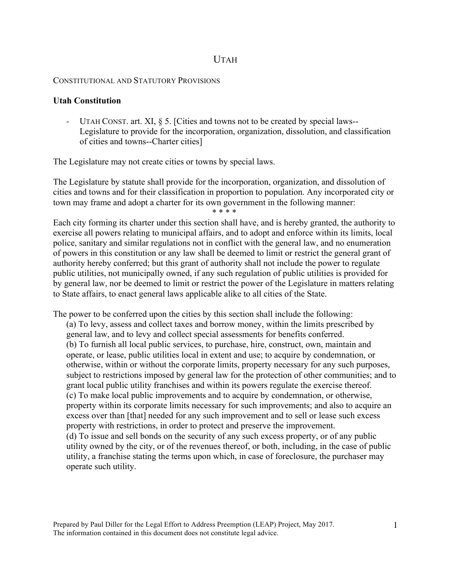# UTAH

#### CONSTITUTIONAL AND STATUTORY PROVISIONS

#### **Utah Constitution**

- UTAH CONST. art. XI, § 5. [Cities and towns not to be created by special laws-- Legislature to provide for the incorporation, organization, dissolution, and classification of cities and towns--Charter cities]

The Legislature may not create cities or towns by special laws.

The Legislature by statute shall provide for the incorporation, organization, and dissolution of cities and towns and for their classification in proportion to population. Any incorporated city or town may frame and adopt a charter for its own government in the following manner: \* \* \* \*

Each city forming its charter under this section shall have, and is hereby granted, the authority to exercise all powers relating to municipal affairs, and to adopt and enforce within its limits, local police, sanitary and similar regulations not in conflict with the general law, and no enumeration of powers in this constitution or any law shall be deemed to limit or restrict the general grant of authority hereby conferred; but this grant of authority shall not include the power to regulate public utilities, not municipally owned, if any such regulation of public utilities is provided for by general law, nor be deemed to limit or restrict the power of the Legislature in matters relating to State affairs, to enact general laws applicable alike to all cities of the State.

The power to be conferred upon the cities by this section shall include the following: (a) To levy, assess and collect taxes and borrow money, within the limits prescribed by general law, and to levy and collect special assessments for benefits conferred. (b) To furnish all local public services, to purchase, hire, construct, own, maintain and operate, or lease, public utilities local in extent and use; to acquire by condemnation, or otherwise, within or without the corporate limits, property necessary for any such purposes, subject to restrictions imposed by general law for the protection of other communities; and to grant local public utility franchises and within its powers regulate the exercise thereof. (c) To make local public improvements and to acquire by condemnation, or otherwise, property within its corporate limits necessary for such improvements; and also to acquire an excess over than [that] needed for any such improvement and to sell or lease such excess property with restrictions, in order to protect and preserve the improvement. (d) To issue and sell bonds on the security of any such excess property, or of any public utility owned by the city, or of the revenues thereof, or both, including, in the case of public utility, a franchise stating the terms upon which, in case of foreclosure, the purchaser may operate such utility.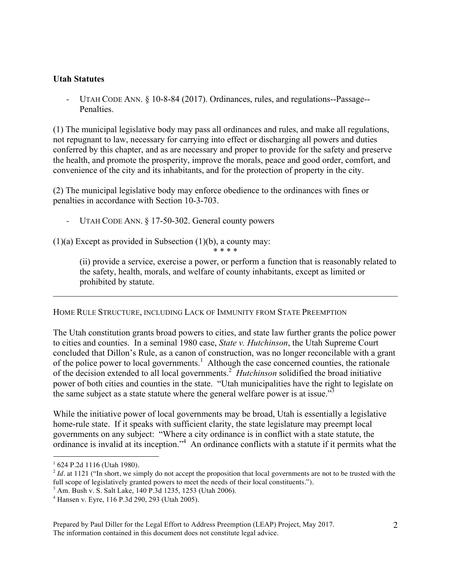## **Utah Statutes**

- UTAH CODE ANN. § 10-8-84 (2017). Ordinances, rules, and regulations--Passage-- **Penalties** 

(1) The municipal legislative body may pass all ordinances and rules, and make all regulations, not repugnant to law, necessary for carrying into effect or discharging all powers and duties conferred by this chapter, and as are necessary and proper to provide for the safety and preserve the health, and promote the prosperity, improve the morals, peace and good order, comfort, and convenience of the city and its inhabitants, and for the protection of property in the city.

(2) The municipal legislative body may enforce obedience to the ordinances with fines or penalties in accordance with Section 10-3-703.

UTAH CODE ANN. § 17-50-302. General county powers

 $(1)(a)$  Except as provided in Subsection  $(1)(b)$ , a county may: \* \* \* \*

> (ii) provide a service, exercise a power, or perform a function that is reasonably related to the safety, health, morals, and welfare of county inhabitants, except as limited or prohibited by statute.

### HOME RULE STRUCTURE, INCLUDING LACK OF IMMUNITY FROM STATE PREEMPTION

The Utah constitution grants broad powers to cities, and state law further grants the police power to cities and counties. In a seminal 1980 case, *State v. Hutchinson*, the Utah Supreme Court concluded that Dillon's Rule, as a canon of construction, was no longer reconcilable with a grant of the police power to local governments.<sup>1</sup> Although the case concerned counties, the rationale of the decision extended to all local governments.2 *Hutchinson* solidified the broad initiative power of both cities and counties in the state. "Utah municipalities have the right to legislate on the same subject as a state statute where the general welfare power is at issue."<sup>3</sup>

 $\mathcal{L}_\mathcal{L} = \{ \mathcal{L}_\mathcal{L} = \{ \mathcal{L}_\mathcal{L} = \{ \mathcal{L}_\mathcal{L} = \{ \mathcal{L}_\mathcal{L} = \{ \mathcal{L}_\mathcal{L} = \{ \mathcal{L}_\mathcal{L} = \{ \mathcal{L}_\mathcal{L} = \{ \mathcal{L}_\mathcal{L} = \{ \mathcal{L}_\mathcal{L} = \{ \mathcal{L}_\mathcal{L} = \{ \mathcal{L}_\mathcal{L} = \{ \mathcal{L}_\mathcal{L} = \{ \mathcal{L}_\mathcal{L} = \{ \mathcal{L}_\mathcal{$ 

While the initiative power of local governments may be broad, Utah is essentially a legislative home-rule state. If it speaks with sufficient clarity, the state legislature may preempt local governments on any subject: "Where a city ordinance is in conflict with a state statute, the ordinance is invalid at its inception."<sup>4</sup> An ordinance conflicts with a statute if it permits what the

<sup>|&</sup>lt;br>|<br>1 624 P.2d 1116 (Utah 1980).

 $2$  *Id.* at 1121 ("In short, we simply do not accept the proposition that local governments are not to be trusted with the full scope of legislatively granted powers to meet the needs of their local constituents.").

<sup>3</sup> Am. Bush v. S. Salt Lake, 140 P.3d 1235, 1253 (Utah 2006).

<sup>4</sup> Hansen v. Eyre, 116 P.3d 290, 293 (Utah 2005).

Prepared by Paul Diller for the Legal Effort to Address Preemption (LEAP) Project, May 2017. The information contained in this document does not constitute legal advice.